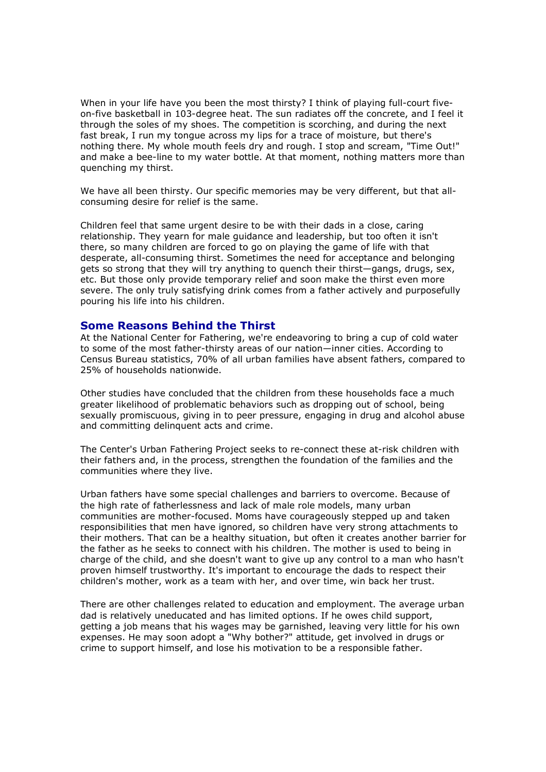When in your life have you been the most thirsty? I think of playing full-court fiveon-five basketball in 103-degree heat. The sun radiates off the concrete, and I feel it through the soles of my shoes. The competition is scorching, and during the next fast break, I run my tongue across my lips for a trace of moisture, but there's nothing there. My whole mouth feels dry and rough. I stop and scream, "Time Out!" and make a bee-line to my water bottle. At that moment, nothing matters more than quenching my thirst.

We have all been thirsty. Our specific memories may be very different, but that allconsuming desire for relief is the same.

Children feel that same urgent desire to be with their dads in a close, caring relationship. They yearn for male guidance and leadership, but too often it isn't there, so many children are forced to go on playing the game of life with that desperate, all-consuming thirst. Sometimes the need for acceptance and belonging gets so strong that they will try anything to quench their thirst—gangs, drugs, sex, etc. But those only provide temporary relief and soon make the thirst even more severe. The only truly satisfying drink comes from a father actively and purposefully pouring his life into his children.

## Some Reasons Behind the Thirst

At the National Center for Fathering, we're endeavoring to bring a cup of cold water to some of the most father-thirsty areas of our nation—inner cities. According to Census Bureau statistics, 70% of all urban families have absent fathers, compared to 25% of households nationwide.

Other studies have concluded that the children from these households face a much greater likelihood of problematic behaviors such as dropping out of school, being sexually promiscuous, giving in to peer pressure, engaging in drug and alcohol abuse and committing delinquent acts and crime.

The Center's Urban Fathering Project seeks to re-connect these at-risk children with their fathers and, in the process, strengthen the foundation of the families and the communities where they live.

Urban fathers have some special challenges and barriers to overcome. Because of the high rate of fatherlessness and lack of male role models, many urban communities are mother-focused. Moms have courageously stepped up and taken responsibilities that men have ignored, so children have very strong attachments to their mothers. That can be a healthy situation, but often it creates another barrier for the father as he seeks to connect with his children. The mother is used to being in charge of the child, and she doesn't want to give up any control to a man who hasn't proven himself trustworthy. It's important to encourage the dads to respect their children's mother, work as a team with her, and over time, win back her trust.

There are other challenges related to education and employment. The average urban dad is relatively uneducated and has limited options. If he owes child support, getting a job means that his wages may be garnished, leaving very little for his own expenses. He may soon adopt a "Why bother?" attitude, get involved in drugs or crime to support himself, and lose his motivation to be a responsible father.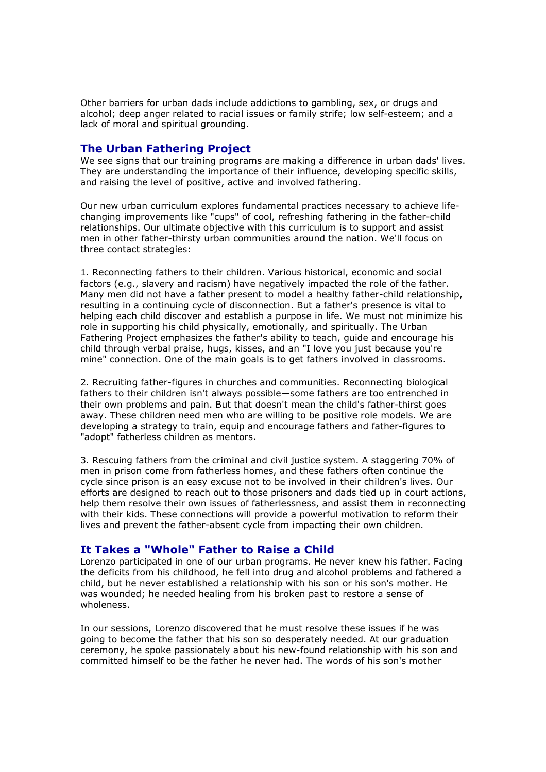Other barriers for urban dads include addictions to gambling, sex, or drugs and alcohol; deep anger related to racial issues or family strife; low self-esteem; and a lack of moral and spiritual grounding.

## The Urban Fathering Project

We see signs that our training programs are making a difference in urban dads' lives. They are understanding the importance of their influence, developing specific skills, and raising the level of positive, active and involved fathering.

Our new urban curriculum explores fundamental practices necessary to achieve lifechanging improvements like "cups" of cool, refreshing fathering in the father-child relationships. Our ultimate objective with this curriculum is to support and assist men in other father-thirsty urban communities around the nation. We'll focus on three contact strategies:

1. Reconnecting fathers to their children. Various historical, economic and social factors (e.g., slavery and racism) have negatively impacted the role of the father. Many men did not have a father present to model a healthy father-child relationship, resulting in a continuing cycle of disconnection. But a father's presence is vital to helping each child discover and establish a purpose in life. We must not minimize his role in supporting his child physically, emotionally, and spiritually. The Urban Fathering Project emphasizes the father's ability to teach, guide and encourage his child through verbal praise, hugs, kisses, and an "I love you just because you're mine" connection. One of the main goals is to get fathers involved in classrooms.

2. Recruiting father-figures in churches and communities. Reconnecting biological fathers to their children isn't always possible—some fathers are too entrenched in their own problems and pain. But that doesn't mean the child's father-thirst goes away. These children need men who are willing to be positive role models. We are developing a strategy to train, equip and encourage fathers and father-figures to "adopt" fatherless children as mentors.

3. Rescuing fathers from the criminal and civil justice system. A staggering 70% of men in prison come from fatherless homes, and these fathers often continue the cycle since prison is an easy excuse not to be involved in their children's lives. Our efforts are designed to reach out to those prisoners and dads tied up in court actions, help them resolve their own issues of fatherlessness, and assist them in reconnecting with their kids. These connections will provide a powerful motivation to reform their lives and prevent the father-absent cycle from impacting their own children.

## It Takes a "Whole" Father to Raise a Child

Lorenzo participated in one of our urban programs. He never knew his father. Facing the deficits from his childhood, he fell into drug and alcohol problems and fathered a child, but he never established a relationship with his son or his son's mother. He was wounded; he needed healing from his broken past to restore a sense of wholeness.

In our sessions, Lorenzo discovered that he must resolve these issues if he was going to become the father that his son so desperately needed. At our graduation ceremony, he spoke passionately about his new-found relationship with his son and committed himself to be the father he never had. The words of his son's mother